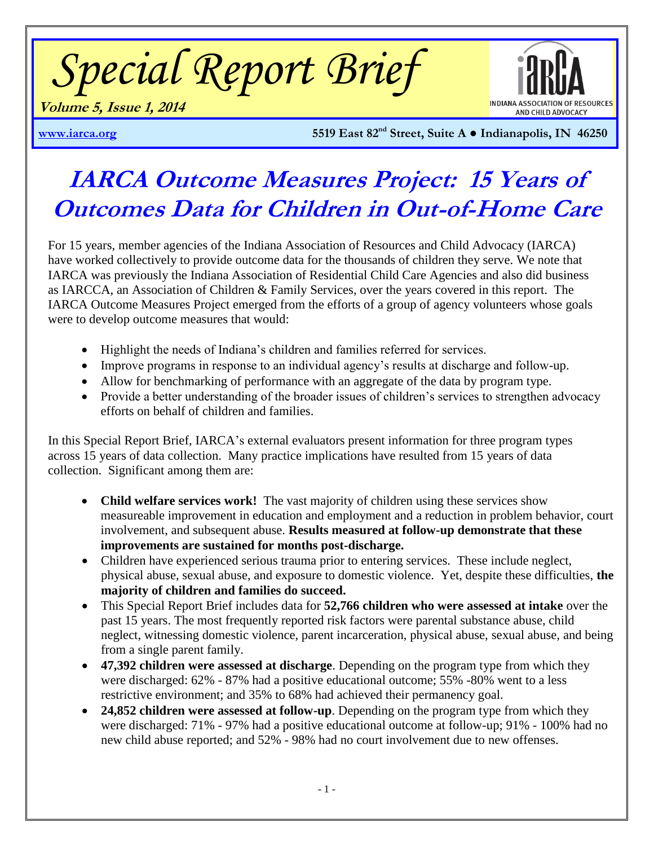*Special Report Brief*



**Volume 5, Issue 1, 2014**

**[www.iarca.org](http://www.iarca.org/) 5519 East 82nd Street, Suite A ● Indianapolis, IN 46250** 

# **IARCA Outcome Measures Project: 15 Years of Outcomes Data for Children in Out-of-Home Care**

For 15 years, member agencies of the Indiana Association of Resources and Child Advocacy (IARCA) have worked collectively to provide outcome data for the thousands of children they serve. We note that IARCA was previously the Indiana Association of Residential Child Care Agencies and also did business as IARCCA, an Association of Children & Family Services, over the years covered in this report. The IARCA Outcome Measures Project emerged from the efforts of a group of agency volunteers whose goals were to develop outcome measures that would:

- Highlight the needs of Indiana's children and families referred for services.
- Improve programs in response to an individual agency's results at discharge and follow-up.
- Allow for benchmarking of performance with an aggregate of the data by program type.
- Provide a better understanding of the broader issues of children's services to strengthen advocacy efforts on behalf of children and families.

In this Special Report Brief, IARCA's external evaluators present information for three program types across 15 years of data collection. Many practice implications have resulted from 15 years of data collection. Significant among them are:

- **Child welfare services work!** The vast majority of children using these services show measureable improvement in education and employment and a reduction in problem behavior, court involvement, and subsequent abuse. **Results measured at follow-up demonstrate that these improvements are sustained for months post-discharge.**
- Children have experienced serious trauma prior to entering services. These include neglect, physical abuse, sexual abuse, and exposure to domestic violence. Yet, despite these difficulties, **the majority of children and families do succeed.**
- This Special Report Brief includes data for **52,766 children who were assessed at intake** over the past 15 years. The most frequently reported risk factors were parental substance abuse, child neglect, witnessing domestic violence, parent incarceration, physical abuse, sexual abuse, and being from a single parent family.
- **47,392 children were assessed at discharge**. Depending on the program type from which they were discharged: 62% - 87% had a positive educational outcome; 55% -80% went to a less restrictive environment; and 35% to 68% had achieved their permanency goal.
- **24,852 children were assessed at follow-up**. Depending on the program type from which they were discharged: 71% - 97% had a positive educational outcome at follow-up; 91% - 100% had no new child abuse reported; and 52% - 98% had no court involvement due to new offenses.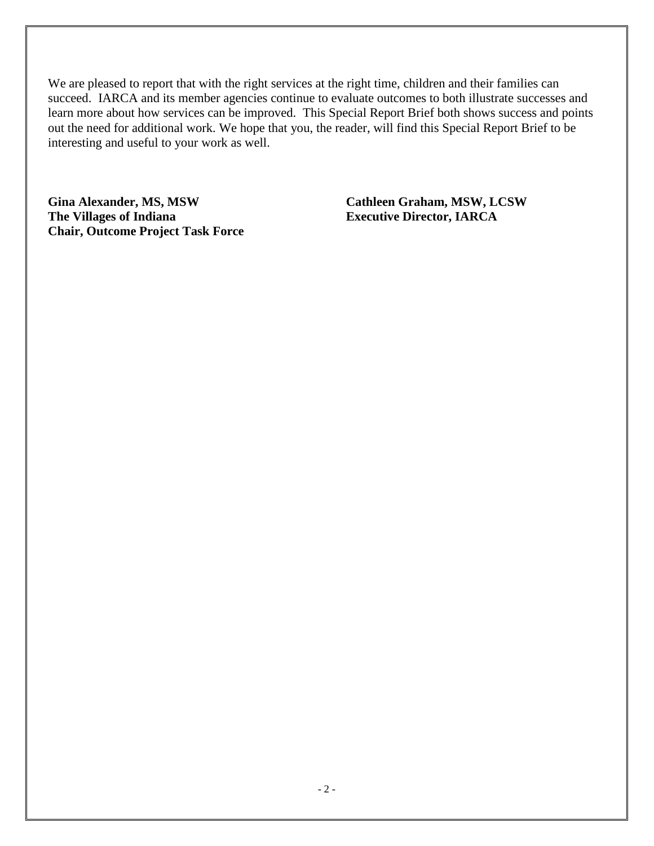We are pleased to report that with the right services at the right time, children and their families can succeed. IARCA and its member agencies continue to evaluate outcomes to both illustrate successes and learn more about how services can be improved. This Special Report Brief both shows success and points out the need for additional work. We hope that you, the reader, will find this Special Report Brief to be interesting and useful to your work as well.

**Gina Alexander, MS, MSW Cathleen Graham, MSW, LCSW The Villages of Indiana Executive Director, IARCA Chair, Outcome Project Task Force**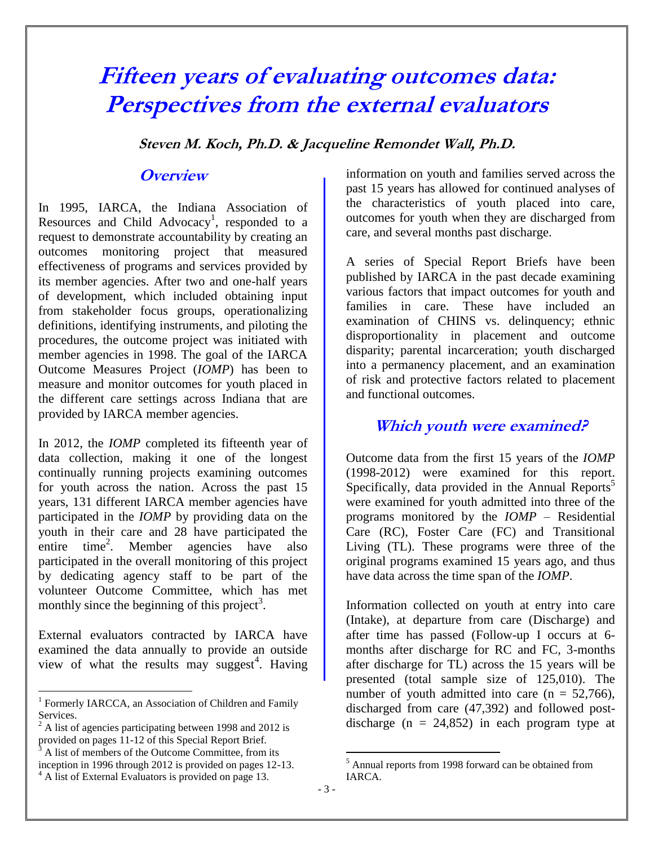# **Fifteen years of evaluating outcomes data: Perspectives from the external evaluators**

**Steven M. Koch, Ph.D. & Jacqueline Remondet Wall, Ph.D.**

# **Overview**

In 1995, IARCA, the Indiana Association of Resources and Child Advocacy<sup>1</sup>, responded to a request to demonstrate accountability by creating an outcomes monitoring project that measured effectiveness of programs and services provided by its member agencies. After two and one-half years of development, which included obtaining input from stakeholder focus groups, operationalizing definitions, identifying instruments, and piloting the procedures, the outcome project was initiated with member agencies in 1998. The goal of the IARCA Outcome Measures Project (*IOMP*) has been to measure and monitor outcomes for youth placed in the different care settings across Indiana that are provided by IARCA member agencies.

In 2012, the *IOMP* completed its fifteenth year of data collection, making it one of the longest continually running projects examining outcomes for youth across the nation. Across the past 15 years, 131 different IARCA member agencies have participated in the *IOMP* by providing data on the youth in their care and 28 have participated the entire time<sup>2</sup>. . Member agencies have also participated in the overall monitoring of this project by dedicating agency staff to be part of the volunteer Outcome Committee, which has met monthly since the beginning of this project<sup>3</sup>.

External evaluators contracted by IARCA have examined the data annually to provide an outside view of what the results may suggest<sup>4</sup>. Having

 $\overline{a}$ 

information on youth and families served across the past 15 years has allowed for continued analyses of the characteristics of youth placed into care, outcomes for youth when they are discharged from care, and several months past discharge.

A series of Special Report Briefs have been published by IARCA in the past decade examining various factors that impact outcomes for youth and families in care. These have included an examination of CHINS vs. delinquency; ethnic disproportionality in placement and outcome disparity; parental incarceration; youth discharged into a permanency placement, and an examination of risk and protective factors related to placement and functional outcomes.

# **Which youth were examined?**

Outcome data from the first 15 years of the *IOMP*  (1998-2012) were examined for this report. Specifically, data provided in the Annual Reports<sup>5</sup> were examined for youth admitted into three of the programs monitored by the *IOMP* – Residential Care (RC), Foster Care (FC) and Transitional Living (TL). These programs were three of the original programs examined 15 years ago, and thus have data across the time span of the *IOMP*.

Information collected on youth at entry into care (Intake), at departure from care (Discharge) and after time has passed (Follow-up I occurs at 6 months after discharge for RC and FC, 3-months after discharge for TL) across the 15 years will be presented (total sample size of 125,010). The number of youth admitted into care  $(n = 52,766)$ , discharged from care (47,392) and followed postdischarge ( $n = 24,852$ ) in each program type at

 $\overline{a}$ 

<sup>&</sup>lt;sup>1</sup> Formerly IARCCA, an Association of Children and Family Services.

 $2$  A list of agencies participating between 1998 and 2012 is provided on pages 11-12 of this Special Report Brief.

<sup>3</sup> A list of members of the Outcome Committee, from its inception in 1996 through 2012 is provided on pages 12-13.

<sup>&</sup>lt;sup>4</sup> A list of External Evaluators is provided on page 13.

<sup>5</sup> Annual reports from 1998 forward can be obtained from IARCA.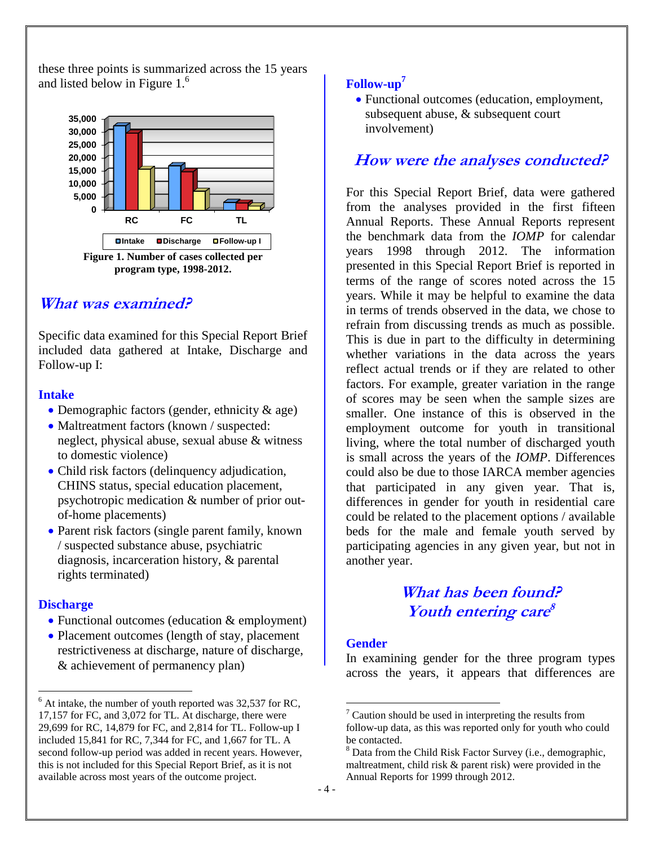these three points is summarized across the 15 years and listed below in Figure 1.<sup>6</sup>



# **What was examined?**

Specific data examined for this Special Report Brief included data gathered at Intake, Discharge and Follow-up I:

## **Intake**

- Demographic factors (gender, ethnicity & age)
- Maltreatment factors (known / suspected: neglect, physical abuse, sexual abuse & witness to domestic violence)
- Child risk factors (delinquency adjudication, CHINS status, special education placement, psychotropic medication & number of prior outof-home placements)
- Parent risk factors (single parent family, known) / suspected substance abuse, psychiatric diagnosis, incarceration history, & parental rights terminated)

# **Discharge**

 $\overline{a}$ 

- Functional outcomes (education & employment)
- Placement outcomes (length of stay, placement restrictiveness at discharge, nature of discharge, & achievement of permanency plan)

# **Follow-up<sup>7</sup>**

 Functional outcomes (education, employment, subsequent abuse, & subsequent court involvement)

# **How were the analyses conducted?**

For this Special Report Brief, data were gathered from the analyses provided in the first fifteen Annual Reports. These Annual Reports represent the benchmark data from the *IOMP* for calendar years 1998 through 2012. The information presented in this Special Report Brief is reported in terms of the range of scores noted across the 15 years. While it may be helpful to examine the data in terms of trends observed in the data, we chose to refrain from discussing trends as much as possible. This is due in part to the difficulty in determining whether variations in the data across the years reflect actual trends or if they are related to other factors. For example, greater variation in the range of scores may be seen when the sample sizes are smaller. One instance of this is observed in the employment outcome for youth in transitional living, where the total number of discharged youth is small across the years of the *IOMP*. Differences could also be due to those IARCA member agencies that participated in any given year. That is, differences in gender for youth in residential care could be related to the placement options / available beds for the male and female youth served by participating agencies in any given year, but not in another year.

# **What has been found? Youth entering care 8**

## **Gender**

 $\overline{a}$ 

In examining gender for the three program types across the years, it appears that differences are

 $6$  At intake, the number of youth reported was 32,537 for RC, 17,157 for FC, and 3,072 for TL. At discharge, there were 29,699 for RC, 14,879 for FC, and 2,814 for TL. Follow-up I included 15,841 for RC, 7,344 for FC, and 1,667 for TL. A second follow-up period was added in recent years. However, this is not included for this Special Report Brief, as it is not available across most years of the outcome project.

Caution should be used in interpreting the results from follow-up data, as this was reported only for youth who could be contacted.

<sup>8</sup> Data from the Child Risk Factor Survey (i.e., demographic, maltreatment, child risk & parent risk) were provided in the Annual Reports for 1999 through 2012.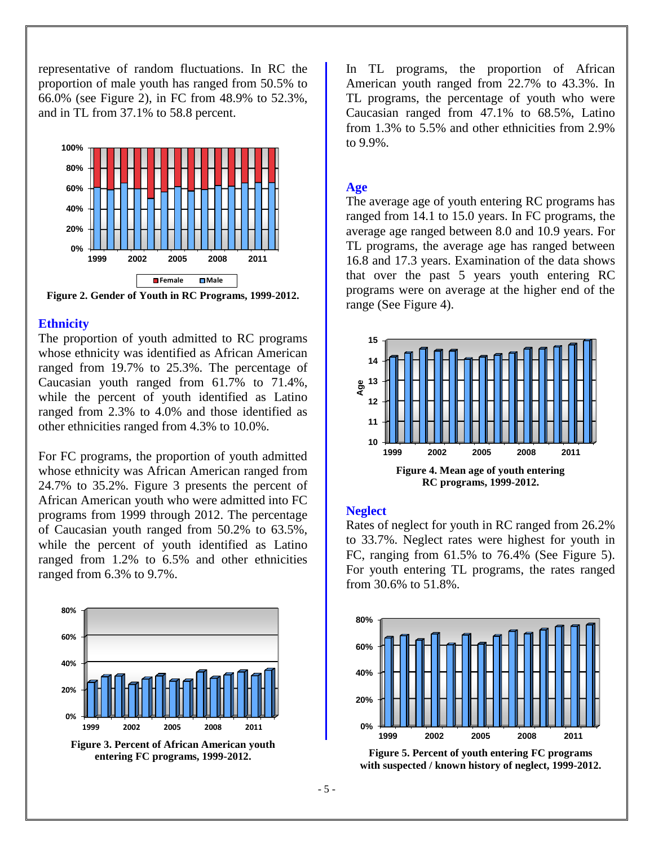representative of random fluctuations. In RC the proportion of male youth has ranged from 50.5% to 66.0% (see Figure 2), in FC from 48.9% to 52.3%, and in TL from 37.1% to 58.8 percent.



**Figure 2. Gender of Youth in RC Programs, 1999-2012.**

#### **Ethnicity**

The proportion of youth admitted to RC programs whose ethnicity was identified as African American ranged from 19.7% to 25.3%. The percentage of Caucasian youth ranged from 61.7% to 71.4%, while the percent of youth identified as Latino ranged from 2.3% to 4.0% and those identified as other ethnicities ranged from 4.3% to 10.0%.

For FC programs, the proportion of youth admitted whose ethnicity was African American ranged from 24.7% to 35.2%. Figure 3 presents the percent of African American youth who were admitted into FC programs from 1999 through 2012. The percentage of Caucasian youth ranged from 50.2% to 63.5%, while the percent of youth identified as Latino ranged from 1.2% to 6.5% and other ethnicities ranged from 6.3% to 9.7%.



**Figure 3. Percent of African American youth entering FC programs, 1999-2012.**

In TL programs, the proportion of African American youth ranged from 22.7% to 43.3%. In TL programs, the percentage of youth who were Caucasian ranged from 47.1% to 68.5%, Latino from 1.3% to 5.5% and other ethnicities from 2.9% to 9.9%.

#### **Age**

The average age of youth entering RC programs has ranged from 14.1 to 15.0 years. In FC programs, the average age ranged between 8.0 and 10.9 years. For TL programs, the average age has ranged between 16.8 and 17.3 years. Examination of the data shows that over the past 5 years youth entering RC programs were on average at the higher end of the range (See Figure 4).



#### **Neglect**

Rates of neglect for youth in RC ranged from 26.2% to 33.7%. Neglect rates were highest for youth in FC, ranging from 61.5% to 76.4% (See Figure 5). For youth entering TL programs, the rates ranged from 30.6% to 51.8%.



**Figure 5. Percent of youth entering FC programs with suspected / known history of neglect, 1999-2012.**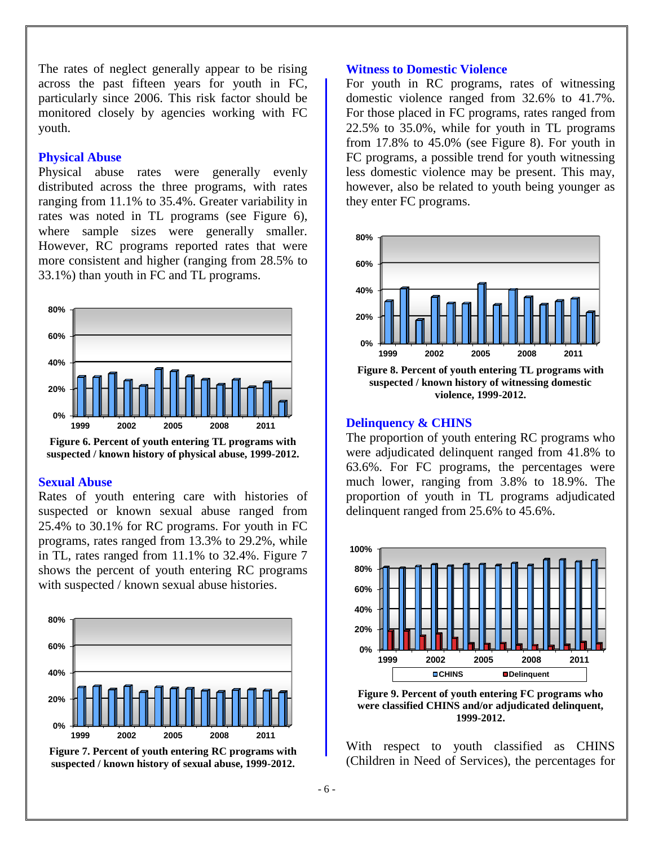The rates of neglect generally appear to be rising across the past fifteen years for youth in FC, particularly since 2006. This risk factor should be monitored closely by agencies working with FC youth.

#### **Physical Abuse**

Physical abuse rates were generally evenly distributed across the three programs, with rates ranging from 11.1% to 35.4%. Greater variability in rates was noted in TL programs (see Figure 6), where sample sizes were generally smaller. However, RC programs reported rates that were more consistent and higher (ranging from 28.5% to 33.1%) than youth in FC and TL programs.



**Figure 6. Percent of youth entering TL programs with suspected / known history of physical abuse, 1999-2012.**

#### **Sexual Abuse**

Rates of youth entering care with histories of suspected or known sexual abuse ranged from 25.4% to 30.1% for RC programs. For youth in FC programs, rates ranged from 13.3% to 29.2%, while in TL, rates ranged from 11.1% to 32.4%. Figure 7 shows the percent of youth entering RC programs with suspected / known sexual abuse histories.



**Figure 7. Percent of youth entering RC programs with suspected / known history of sexual abuse, 1999-2012.**

#### **Witness to Domestic Violence**

For youth in RC programs, rates of witnessing domestic violence ranged from 32.6% to 41.7%. For those placed in FC programs, rates ranged from 22.5% to 35.0%, while for youth in TL programs from 17.8% to 45.0% (see Figure 8). For youth in FC programs, a possible trend for youth witnessing less domestic violence may be present. This may, however, also be related to youth being younger as they enter FC programs.



**Figure 8. Percent of youth entering TL programs with suspected / known history of witnessing domestic violence, 1999-2012.**

#### **Delinquency & CHINS**

The proportion of youth entering RC programs who were adjudicated delinquent ranged from 41.8% to 63.6%. For FC programs, the percentages were much lower, ranging from 3.8% to 18.9%. The proportion of youth in TL programs adjudicated delinquent ranged from 25.6% to 45.6%.



**Figure 9. Percent of youth entering FC programs who were classified CHINS and/or adjudicated delinquent, 1999-2012.**

With respect to youth classified as CHINS (Children in Need of Services), the percentages for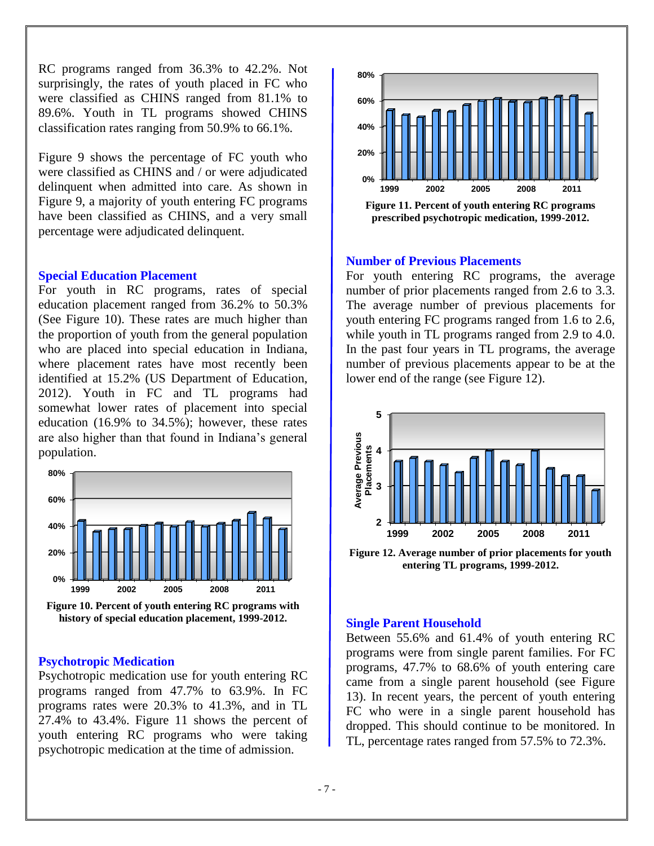RC programs ranged from 36.3% to 42.2%. Not surprisingly, the rates of youth placed in FC who were classified as CHINS ranged from 81.1% to 89.6%. Youth in TL programs showed CHINS classification rates ranging from 50.9% to 66.1%.

Figure 9 shows the percentage of FC youth who were classified as CHINS and / or were adjudicated delinquent when admitted into care. As shown in Figure 9, a majority of youth entering FC programs have been classified as CHINS, and a very small percentage were adjudicated delinquent.

#### **Special Education Placement**

For youth in RC programs, rates of special education placement ranged from 36.2% to 50.3% (See Figure 10). These rates are much higher than the proportion of youth from the general population who are placed into special education in Indiana, where placement rates have most recently been identified at 15.2% (US Department of Education, 2012). Youth in FC and TL programs had somewhat lower rates of placement into special education (16.9% to 34.5%); however, these rates are also higher than that found in Indiana's general population.



**Figure 10. Percent of youth entering RC programs with history of special education placement, 1999-2012.**

#### **Psychotropic Medication**

Psychotropic medication use for youth entering RC programs ranged from 47.7% to 63.9%. In FC programs rates were 20.3% to 41.3%, and in TL 27.4% to 43.4%. Figure 11 shows the percent of youth entering RC programs who were taking psychotropic medication at the time of admission.



**Figure 11. Percent of youth entering RC programs prescribed psychotropic medication, 1999-2012.**

### **Number of Previous Placements**

For youth entering RC programs, the average number of prior placements ranged from 2.6 to 3.3. The average number of previous placements for youth entering FC programs ranged from 1.6 to 2.6, while youth in TL programs ranged from 2.9 to 4.0. In the past four years in TL programs, the average number of previous placements appear to be at the lower end of the range (see Figure 12).



**Figure 12. Average number of prior placements for youth entering TL programs, 1999-2012.**

#### **Single Parent Household**

Between 55.6% and 61.4% of youth entering RC programs were from single parent families. For FC programs, 47.7% to 68.6% of youth entering care came from a single parent household (see Figure 13). In recent years, the percent of youth entering FC who were in a single parent household has dropped. This should continue to be monitored. In TL, percentage rates ranged from 57.5% to 72.3%.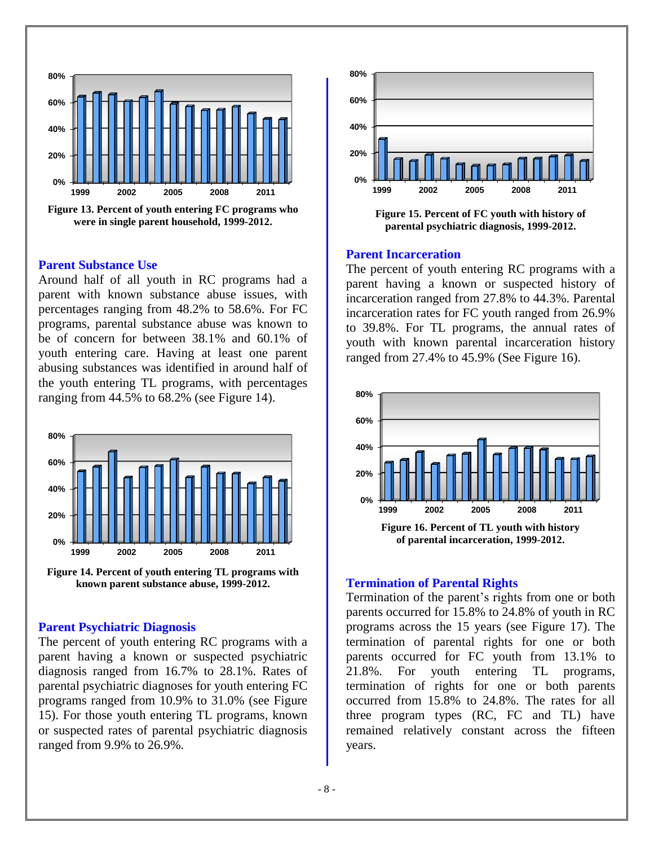

### **Parent Substance Use**

Around half of all youth in RC programs had a parent with known substance abuse issues, with percentages ranging from 48.2% to 58.6%. For FC programs, parental substance abuse was known to be of concern for between 38.1% and 60.1% of youth entering care. Having at least one parent abusing substances was identified in around half of the youth entering TL programs, with percentages ranging from 44.5% to 68.2% (see Figure 14).



**Figure 14. Percent of youth entering TL programs with known parent substance abuse, 1999-2012.**

#### **Parent Psychiatric Diagnosis**

The percent of youth entering RC programs with a parent having a known or suspected psychiatric diagnosis ranged from 16.7% to 28.1%. Rates of parental psychiatric diagnoses for youth entering FC programs ranged from 10.9% to 31.0% (see Figure 15). For those youth entering TL programs, known or suspected rates of parental psychiatric diagnosis ranged from 9.9% to 26.9%.



**parental psychiatric diagnosis, 1999-2012.**

#### **Parent Incarceration**

The percent of youth entering RC programs with a parent having a known or suspected history of incarceration ranged from 27.8% to 44.3%. Parental incarceration rates for FC youth ranged from 26.9% to 39.8%. For TL programs, the annual rates of youth with known parental incarceration history ranged from 27.4% to 45.9% (See Figure 16).



#### **Termination of Parental Rights**

Termination of the parent's rights from one or both parents occurred for 15.8% to 24.8% of youth in RC programs across the 15 years (see Figure 17). The termination of parental rights for one or both parents occurred for FC youth from 13.1% to 21.8%. For youth entering TL programs, termination of rights for one or both parents occurred from 15.8% to 24.8%. The rates for all three program types (RC, FC and TL) have remained relatively constant across the fifteen years.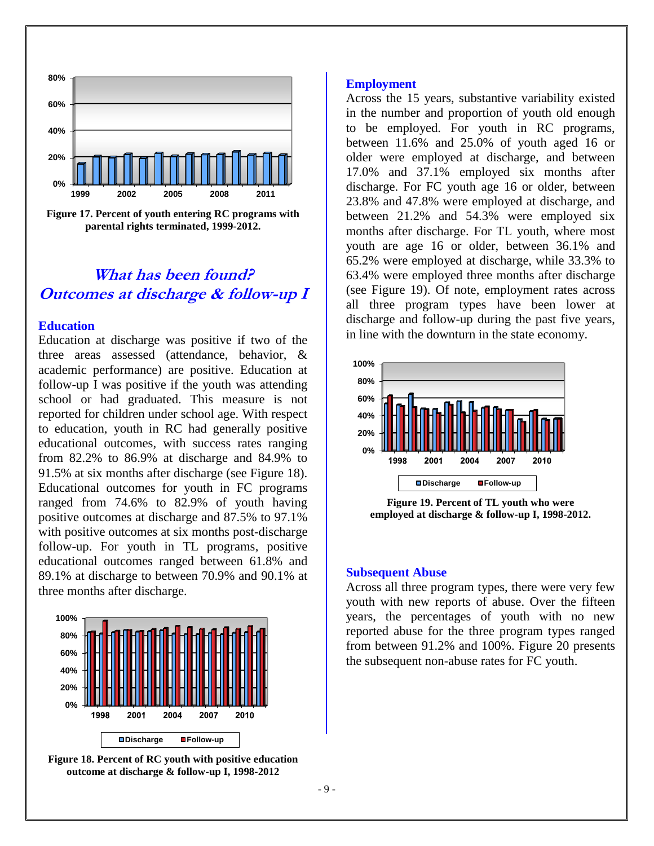

**Figure 17. Percent of youth entering RC programs with parental rights terminated, 1999-2012.**

# **What has been found? Outcomes at discharge & follow-up I**

#### **Education**

Education at discharge was positive if two of the three areas assessed (attendance, behavior, & academic performance) are positive. Education at follow-up I was positive if the youth was attending school or had graduated. This measure is not reported for children under school age. With respect to education, youth in RC had generally positive educational outcomes, with success rates ranging from 82.2% to 86.9% at discharge and 84.9% to 91.5% at six months after discharge (see Figure 18). Educational outcomes for youth in FC programs ranged from 74.6% to 82.9% of youth having positive outcomes at discharge and 87.5% to 97.1% with positive outcomes at six months post-discharge follow-up. For youth in TL programs, positive educational outcomes ranged between 61.8% and 89.1% at discharge to between 70.9% and 90.1% at three months after discharge.



**Figure 18. Percent of RC youth with positive education outcome at discharge & follow-up I, 1998-2012**

#### **Employment**

Across the 15 years, substantive variability existed in the number and proportion of youth old enough to be employed. For youth in RC programs, between 11.6% and 25.0% of youth aged 16 or older were employed at discharge, and between 17.0% and 37.1% employed six months after discharge. For FC youth age 16 or older, between 23.8% and 47.8% were employed at discharge, and between 21.2% and 54.3% were employed six months after discharge. For TL youth, where most youth are age 16 or older, between 36.1% and 65.2% were employed at discharge, while 33.3% to 63.4% were employed three months after discharge (see Figure 19). Of note, employment rates across all three program types have been lower at discharge and follow-up during the past five years, in line with the downturn in the state economy.



**Figure 19. Percent of TL youth who were employed at discharge & follow-up I, 1998-2012.**

#### **Subsequent Abuse**

Across all three program types, there were very few youth with new reports of abuse. Over the fifteen years, the percentages of youth with no new reported abuse for the three program types ranged from between 91.2% and 100%. Figure 20 presents the subsequent non-abuse rates for FC youth.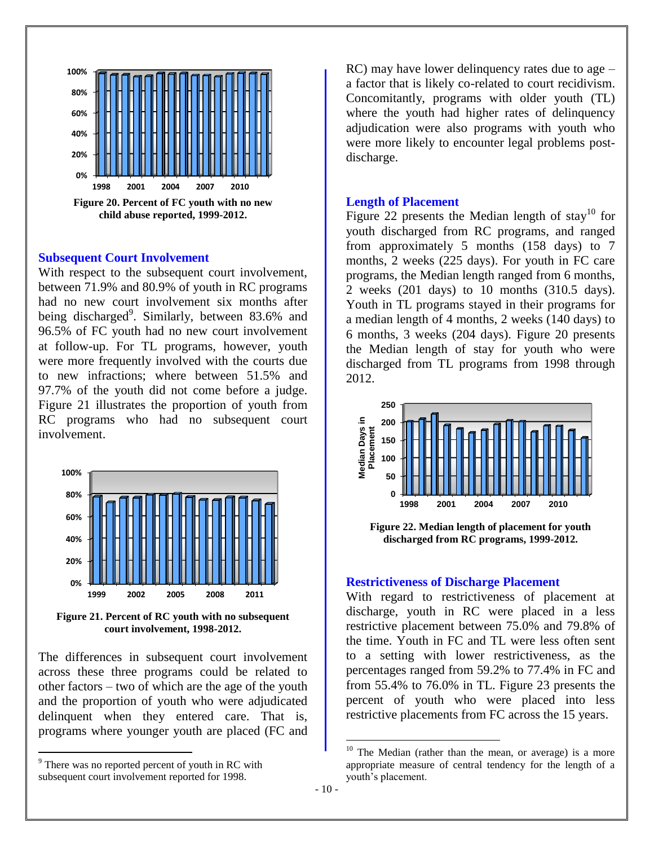

#### **Subsequent Court Involvement**

With respect to the subsequent court involvement, between 71.9% and 80.9% of youth in RC programs had no new court involvement six months after being discharged<sup>9</sup>. Similarly, between 83.6% and 96.5% of FC youth had no new court involvement at follow-up. For TL programs, however, youth were more frequently involved with the courts due to new infractions; where between 51.5% and 97.7% of the youth did not come before a judge. Figure 21 illustrates the proportion of youth from RC programs who had no subsequent court involvement.



**Figure 21. Percent of RC youth with no subsequent court involvement, 1998-2012.** 

The differences in subsequent court involvement across these three programs could be related to other factors – two of which are the age of the youth and the proportion of youth who were adjudicated delinquent when they entered care. That is, programs where younger youth are placed (FC and

 $\overline{a}$ 

RC) may have lower delinquency rates due to age – a factor that is likely co-related to court recidivism. Concomitantly, programs with older youth (TL) where the youth had higher rates of delinquency adjudication were also programs with youth who were more likely to encounter legal problems postdischarge.

#### **Length of Placement**

Figure 22 presents the Median length of stay<sup>10</sup> for youth discharged from RC programs, and ranged from approximately 5 months (158 days) to 7 months, 2 weeks (225 days). For youth in FC care programs, the Median length ranged from 6 months, 2 weeks (201 days) to 10 months (310.5 days). Youth in TL programs stayed in their programs for a median length of 4 months, 2 weeks (140 days) to 6 months, 3 weeks (204 days). Figure 20 presents the Median length of stay for youth who were discharged from TL programs from 1998 through 2012.



**Figure 22. Median length of placement for youth discharged from RC programs, 1999-2012.**

#### **Restrictiveness of Discharge Placement**

With regard to restrictiveness of placement at discharge, youth in RC were placed in a less restrictive placement between 75.0% and 79.8% of the time. Youth in FC and TL were less often sent to a setting with lower restrictiveness, as the percentages ranged from 59.2% to 77.4% in FC and from 55.4% to 76.0% in TL. Figure 23 presents the percent of youth who were placed into less restrictive placements from FC across the 15 years.

 $\overline{a}$ 

 $9$ <sup>9</sup> There was no reported percent of youth in RC with subsequent court involvement reported for 1998.

 $10$  The Median (rather than the mean, or average) is a more appropriate measure of central tendency for the length of a youth's placement.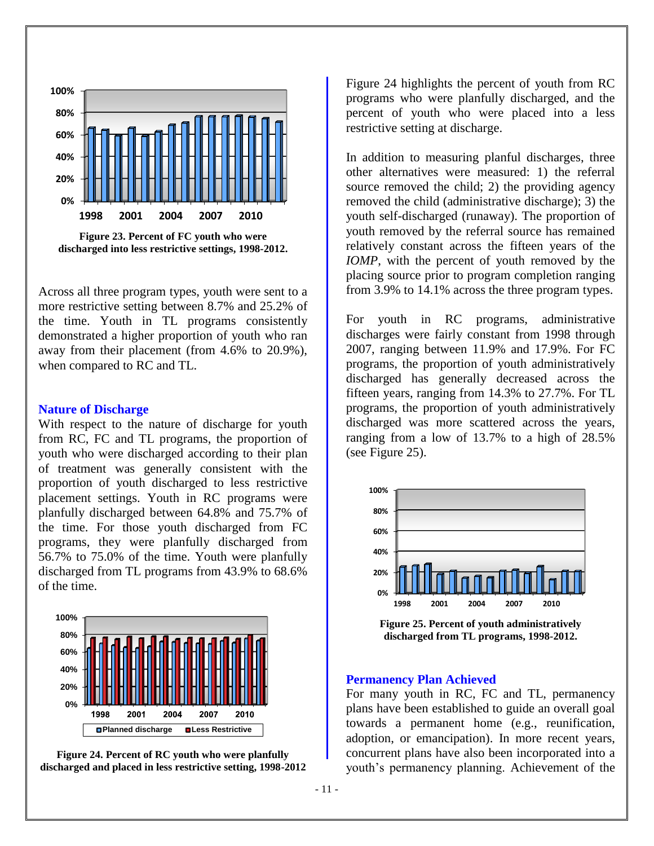



Across all three program types, youth were sent to a more restrictive setting between 8.7% and 25.2% of the time. Youth in TL programs consistently demonstrated a higher proportion of youth who ran away from their placement (from 4.6% to 20.9%), when compared to RC and TL.

#### **Nature of Discharge**

With respect to the nature of discharge for youth from RC, FC and TL programs, the proportion of youth who were discharged according to their plan of treatment was generally consistent with the proportion of youth discharged to less restrictive placement settings. Youth in RC programs were planfully discharged between 64.8% and 75.7% of the time. For those youth discharged from FC programs, they were planfully discharged from 56.7% to 75.0% of the time. Youth were planfully discharged from TL programs from 43.9% to 68.6% of the time.



**Figure 24. Percent of RC youth who were planfully discharged and placed in less restrictive setting, 1998-2012** Figure 24 highlights the percent of youth from RC programs who were planfully discharged, and the percent of youth who were placed into a less restrictive setting at discharge.

In addition to measuring planful discharges, three other alternatives were measured: 1) the referral source removed the child; 2) the providing agency removed the child (administrative discharge); 3) the youth self-discharged (runaway). The proportion of youth removed by the referral source has remained relatively constant across the fifteen years of the *IOMP*, with the percent of youth removed by the placing source prior to program completion ranging from 3.9% to 14.1% across the three program types.

For youth in RC programs, administrative discharges were fairly constant from 1998 through 2007, ranging between 11.9% and 17.9%. For FC programs, the proportion of youth administratively discharged has generally decreased across the fifteen years, ranging from 14.3% to 27.7%. For TL programs, the proportion of youth administratively discharged was more scattered across the years, ranging from a low of 13.7% to a high of 28.5% (see Figure 25).



**Figure 25. Percent of youth administratively discharged from TL programs, 1998-2012.**

#### **Permanency Plan Achieved**

For many youth in RC, FC and TL, permanency plans have been established to guide an overall goal towards a permanent home (e.g., reunification, adoption, or emancipation). In more recent years, concurrent plans have also been incorporated into a youth's permanency planning. Achievement of the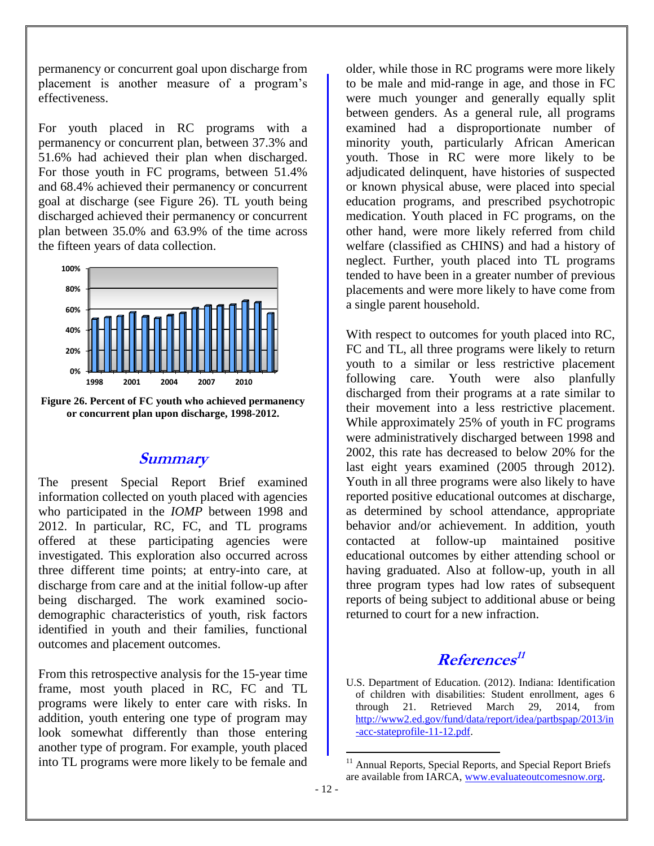permanency or concurrent goal upon discharge from placement is another measure of a program's effectiveness.

For youth placed in RC programs with a permanency or concurrent plan, between 37.3% and 51.6% had achieved their plan when discharged. For those youth in FC programs, between 51.4% and 68.4% achieved their permanency or concurrent goal at discharge (see Figure 26). TL youth being discharged achieved their permanency or concurrent plan between 35.0% and 63.9% of the time across the fifteen years of data collection.





# **Summary**

The present Special Report Brief examined information collected on youth placed with agencies who participated in the *IOMP* between 1998 and 2012. In particular, RC, FC, and TL programs offered at these participating agencies were investigated. This exploration also occurred across three different time points; at entry-into care, at discharge from care and at the initial follow-up after being discharged. The work examined sociodemographic characteristics of youth, risk factors identified in youth and their families, functional outcomes and placement outcomes.

From this retrospective analysis for the 15-year time frame, most youth placed in RC, FC and TL programs were likely to enter care with risks. In addition, youth entering one type of program may look somewhat differently than those entering another type of program. For example, youth placed into TL programs were more likely to be female and

older, while those in RC programs were more likely to be male and mid-range in age, and those in FC were much younger and generally equally split between genders. As a general rule, all programs examined had a disproportionate number of minority youth, particularly African American youth. Those in RC were more likely to be adjudicated delinquent, have histories of suspected or known physical abuse, were placed into special education programs, and prescribed psychotropic medication. Youth placed in FC programs, on the other hand, were more likely referred from child welfare (classified as CHINS) and had a history of neglect. Further, youth placed into TL programs tended to have been in a greater number of previous placements and were more likely to have come from a single parent household.

With respect to outcomes for youth placed into RC, FC and TL, all three programs were likely to return youth to a similar or less restrictive placement following care. Youth were also planfully discharged from their programs at a rate similar to their movement into a less restrictive placement. While approximately 25% of youth in FC programs were administratively discharged between 1998 and 2002, this rate has decreased to below 20% for the last eight years examined (2005 through 2012). Youth in all three programs were also likely to have reported positive educational outcomes at discharge, as determined by school attendance, appropriate behavior and/or achievement. In addition, youth contacted at follow-up maintained positive educational outcomes by either attending school or having graduated. Also at follow-up, youth in all three program types had low rates of subsequent reports of being subject to additional abuse or being returned to court for a new infraction.

# **References 11**

U.S. Department of Education. (2012). Indiana: Identification of children with disabilities: Student enrollment, ages 6 through 21. Retrieved March 29, 2014, from [http://www2.ed.gov/fund/data/report/idea/partbspap/2013/in](http://www2.ed.gov/fund/data/report/idea/partbspap/2013/in-acc-stateprofile-11-12.pdf) [-acc-stateprofile-11-12.pdf.](http://www2.ed.gov/fund/data/report/idea/partbspap/2013/in-acc-stateprofile-11-12.pdf)

 $\overline{a}$ 

Annual Reports, Special Reports, and Special Report Briefs are available from IARCA, [www.evaluateoutcomesnow.org.](http://www.evaluateoutcomesnow.org/)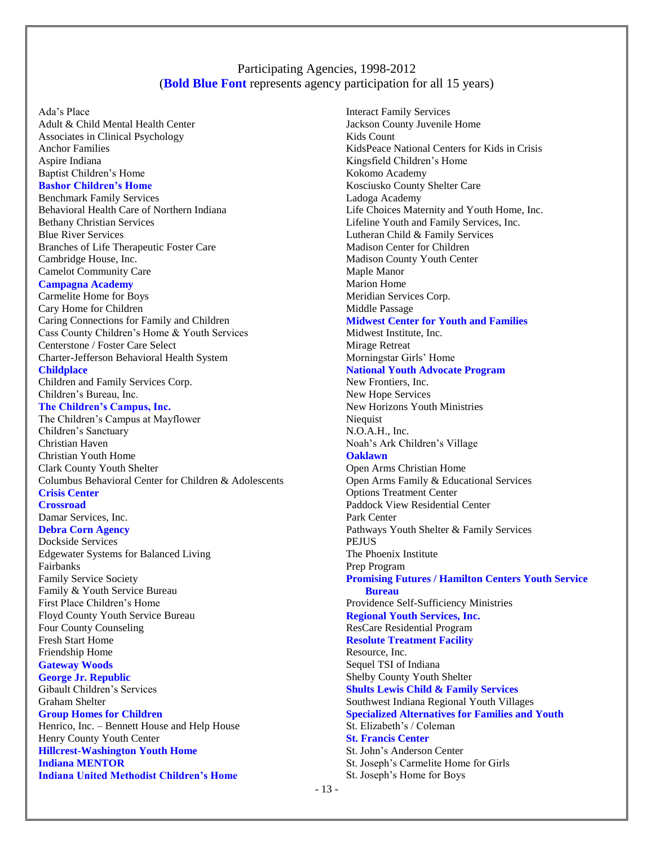## Participating Agencies, 1998-2012 (**Bold Blue Font** represents agency participation for all 15 years)

Ada's Place

Adult & Child Mental Health Center Associates in Clinical Psychology Anchor Families Aspire Indiana Baptist Children's Home **Bashor Children's Home**  Benchmark Family Services Behavioral Health Care of Northern Indiana Bethany Christian Services Blue River Services Branches of Life Therapeutic Foster Care Cambridge House, Inc. Camelot Community Care **Campagna Academy** Carmelite Home for Boys Cary Home for Children Caring Connections for Family and Children Cass County Children's Home & Youth Services Centerstone / Foster Care Select Charter-Jefferson Behavioral Health System **Childplace** Children and Family Services Corp. Children's Bureau, Inc. **The Children's Campus, Inc.** The Children's Campus at Mayflower Children's Sanctuary Christian Haven Christian Youth Home Clark County Youth Shelter Columbus Behavioral Center for Children & Adolescents **Crisis Center Crossroad**  Damar Services, Inc. **Debra Corn Agency**  Dockside Services Edgewater Systems for Balanced Living Fairbanks Family Service Society Family & Youth Service Bureau First Place Children's Home Floyd County Youth Service Bureau Four County Counseling Fresh Start Home Friendship Home **Gateway Woods George Jr. Republic**  Gibault Children's Services Graham Shelter **Group Homes for Children** Henrico, Inc. – Bennett House and Help House Henry County Youth Center **Hillcrest-Washington Youth Home Indiana MENTOR** 

**Indiana United Methodist Children's Home** 

Interact Family Services Jackson County Juvenile Home Kids Count KidsPeace National Centers for Kids in Crisis Kingsfield Children's Home Kokomo Academy Kosciusko County Shelter Care Ladoga Academy Life Choices Maternity and Youth Home, Inc. Lifeline Youth and Family Services, Inc. Lutheran Child & Family Services Madison Center for Children Madison County Youth Center Maple Manor Marion Home Meridian Services Corp. Middle Passage **Midwest Center for Youth and Families** Midwest Institute, Inc. Mirage Retreat Morningstar Girls' Home **National Youth Advocate Program**  New Frontiers, Inc. New Hope Services New Horizons Youth Ministries Niequist N.O.A.H., Inc. Noah's Ark Children's Village **Oaklawn** Open Arms Christian Home Open Arms Family & Educational Services Options Treatment Center Paddock View Residential Center Park Center Pathways Youth Shelter & Family Services PEJUS The Phoenix Institute Prep Program **Promising Futures / Hamilton Centers Youth Service Bureau**  Providence Self-Sufficiency Ministries **Regional Youth Services, Inc.**  ResCare Residential Program **Resolute Treatment Facility** Resource, Inc. Sequel TSI of Indiana Shelby County Youth Shelter **Shults Lewis Child & Family Services**  Southwest Indiana Regional Youth Villages **Specialized Alternatives for Families and Youth** St. Elizabeth's / Coleman **St. Francis Center**  St. John's Anderson Center St. Joseph's Carmelite Home for Girls St. Joseph's Home for Boys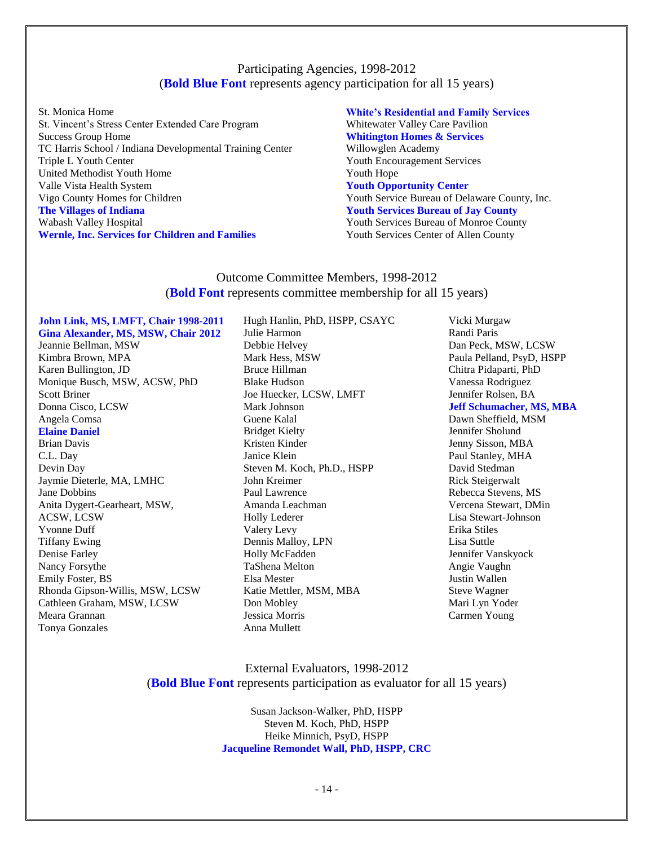## Participating Agencies, 1998-2012 (**Bold Blue Font** represents agency participation for all 15 years)

St. Monica Home St. Vincent's Stress Center Extended Care Program Success Group Home TC Harris School / Indiana Developmental Training Center Triple L Youth Center United Methodist Youth Home Valle Vista Health System Vigo County Homes for Children **The Villages of Indiana**  Wabash Valley Hospital **Wernle, Inc. Services for Children and Families** 

#### **White's Residential and Family Services**  Whitewater Valley Care Pavilion **Whitington Homes & Services**  Willowglen Academy Youth Encouragement Services Youth Hope **Youth Opportunity Center**  Youth Service Bureau of Delaware County, Inc. **Youth Services Bureau of Jay County**  Youth Services Bureau of Monroe County Youth Services Center of Allen County

## Outcome Committee Members, 1998-2012 (**Bold Font** represents committee membership for all 15 years)

**John Link, MS, LMFT, Chair 1998-2011 Gina Alexander, MS, MSW, Chair 2012** Jeannie Bellman, MSW Kimbra Brown, MPA Karen Bullington, JD Monique Busch, MSW, ACSW, PhD Scott Briner Donna Cisco, LCSW Angela Comsa **Elaine Daniel**  Brian Davis C.L. Day Devin Day Jaymie Dieterle, MA, LMHC Jane Dobbins Anita Dygert-Gearheart, MSW, ACSW, LCSW Yvonne Duff Tiffany Ewing Denise Farley Nancy Forsythe Emily Foster, BS Rhonda Gipson-Willis, MSW, LCSW Cathleen Graham, MSW, LCSW Meara Grannan Tonya Gonzales

Hugh Hanlin, PhD, HSPP, CSAYC Julie Harmon Debbie Helvey Mark Hess, MSW Bruce Hillman Blake Hudson Joe Huecker, LCSW, LMFT Mark Johnson Guene Kalal Bridget Kielty Kristen Kinder Janice Klein Steven M. Koch, Ph.D., HSPP John Kreimer Paul Lawrence Amanda Leachman Holly Lederer Valery Levy Dennis Malloy, LPN Holly McFadden TaShena Melton Elsa Mester Katie Mettler, MSM, MBA Don Mobley Jessica Morris Anna Mullett

Vicki Murgaw Randi Paris Dan Peck, MSW, LCSW Paula Pelland, PsyD, HSPP Chitra Pidaparti, PhD Vanessa Rodriguez Jennifer Rolsen, BA **Jeff Schumacher, MS, MBA**  Dawn Sheffield, MSM Jennifer Sholund Jenny Sisson, MBA Paul Stanley, MHA David Stedman Rick Steigerwalt Rebecca Stevens, MS Vercena Stewart, DMin Lisa Stewart-Johnson Erika Stiles Lisa Suttle Jennifer Vanskyock Angie Vaughn Justin Wallen Steve Wagner Mari Lyn Yoder Carmen Young

## External Evaluators, 1998-2012 (**Bold Blue Font** represents participation as evaluator for all 15 years)

Susan Jackson-Walker, PhD, HSPP Steven M. Koch, PhD, HSPP Heike Minnich, PsyD, HSPP **Jacqueline Remondet Wall, PhD, HSPP, CRC**